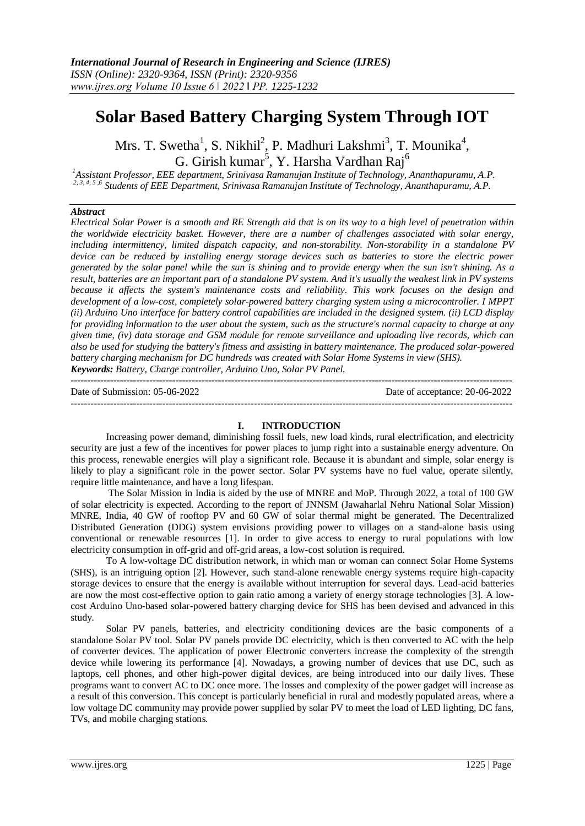# **Solar Based Battery Charging System Through IOT**

Mrs. T. Swetha<sup>1</sup>, S. Nikhil<sup>2</sup>, P. Madhuri Lakshmi<sup>3</sup>, T. Mounika<sup>4</sup>, G. Girish kumar<sup>5</sup>, Y. Harsha Vardhan Raj<sup>6</sup>

*<sup>1</sup>Assistant Professor, EEE department, Srinivasa Ramanujan Institute of Technology, Ananthapuramu, A.P. 2, 3, 4, <sup>5</sup> ,6 Students of EEE Department, Srinivasa Ramanujan Institute of Technology, Ananthapuramu, A.P.*

# *Abstract*

*Electrical Solar Power is a smooth and RE Strength aid that is on its way to a high level of penetration within the worldwide electricity basket. However, there are a number of challenges associated with solar energy, including intermittency, limited dispatch capacity, and non-storability. Non-storability in a standalone PV device can be reduced by installing energy storage devices such as batteries to store the electric power generated by the solar panel while the sun is shining and to provide energy when the sun isn't shining. As a result, batteries are an important part of a standalone PV system. And it's usually the weakest link in PV systems because it affects the system's maintenance costs and reliability. This work focuses on the design and development of a low-cost, completely solar-powered battery charging system using a microcontroller. I MPPT (ii) Arduino Uno interface for battery control capabilities are included in the designed system. (ii) LCD display for providing information to the user about the system, such as the structure's normal capacity to charge at any given time, (iv) data storage and GSM module for remote surveillance and uploading live records, which can also be used for studying the battery's fitness and assisting in battery maintenance. The produced solar-powered battery charging mechanism for DC hundreds was created with Solar Home Systems in view (SHS). Keywords: Battery, Charge controller, Arduino Uno, Solar PV Panel.*

---------------------------------------------------------------------------------------------------------------------------------------

Date of Submission: 05-06-2022 Date of acceptance: 20-06-2022 ---------------------------------------------------------------------------------------------------------------------------------------

# **I. INTRODUCTION**

Increasing power demand, diminishing fossil fuels, new load kinds, rural electrification, and electricity security are just a few of the incentives for power places to jump right into a sustainable energy adventure. On this process, renewable energies will play a significant role. Because it is abundant and simple, solar energy is likely to play a significant role in the power sector. Solar PV systems have no fuel value, operate silently, require little maintenance, and have a long lifespan.

The Solar Mission in India is aided by the use of MNRE and MoP. Through 2022, a total of 100 GW of solar electricity is expected. According to the report of JNNSM (Jawaharlal Nehru National Solar Mission) MNRE, India, 40 GW of rooftop PV and 60 GW of solar thermal might be generated. The Decentralized Distributed Generation (DDG) system envisions providing power to villages on a stand-alone basis using conventional or renewable resources [1]. In order to give access to energy to rural populations with low electricity consumption in off-grid and off-grid areas, a low-cost solution is required.

To A low-voltage DC distribution network, in which man or woman can connect Solar Home Systems (SHS), is an intriguing option [2]. However, such stand-alone renewable energy systems require high-capacity storage devices to ensure that the energy is available without interruption for several days. Lead-acid batteries are now the most cost-effective option to gain ratio among a variety of energy storage technologies [3]. A lowcost Arduino Uno-based solar-powered battery charging device for SHS has been devised and advanced in this study.

Solar PV panels, batteries, and electricity conditioning devices are the basic components of a standalone Solar PV tool. Solar PV panels provide DC electricity, which is then converted to AC with the help of converter devices. The application of power Electronic converters increase the complexity of the strength device while lowering its performance [4]. Nowadays, a growing number of devices that use DC, such as laptops, cell phones, and other high-power digital devices, are being introduced into our daily lives. These programs want to convert AC to DC once more. The losses and complexity of the power gadget will increase as a result of this conversion. This concept is particularly beneficial in rural and modestly populated areas, where a low voltage DC community may provide power supplied by solar PV to meet the load of LED lighting, DC fans, TVs, and mobile charging stations.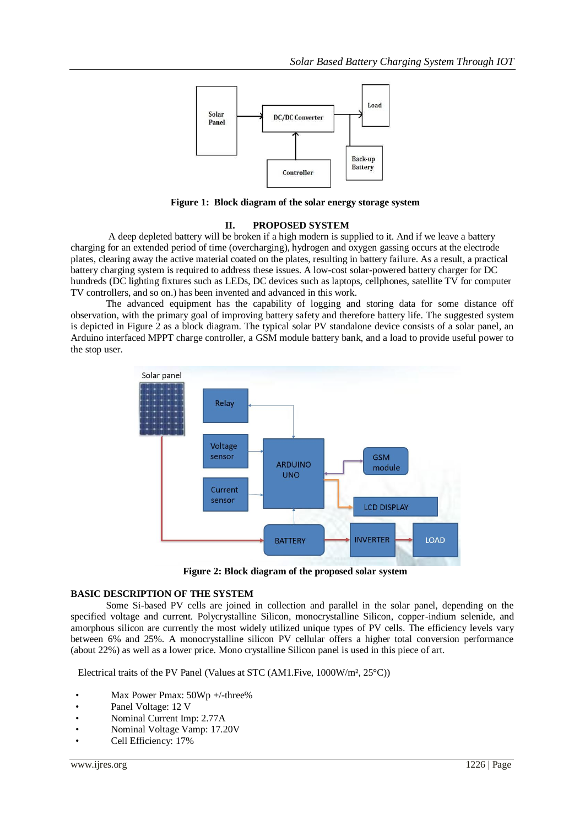

**Figure 1: Block diagram of the solar energy storage system**

# **II. PROPOSED SYSTEM**

A deep depleted battery will be broken if a high modern is supplied to it. And if we leave a battery charging for an extended period of time (overcharging), hydrogen and oxygen gassing occurs at the electrode plates, clearing away the active material coated on the plates, resulting in battery failure. As a result, a practical battery charging system is required to address these issues. A low-cost solar-powered battery charger for DC hundreds (DC lighting fixtures such as LEDs, DC devices such as laptops, cellphones, satellite TV for computer TV controllers, and so on.) has been invented and advanced in this work.

The advanced equipment has the capability of logging and storing data for some distance off observation, with the primary goal of improving battery safety and therefore battery life. The suggested system is depicted in Figure 2 as a block diagram. The typical solar PV standalone device consists of a solar panel, an Arduino interfaced MPPT charge controller, a GSM module battery bank, and a load to provide useful power to the stop user.



**Figure 2: Block diagram of the proposed solar system**

# **BASIC DESCRIPTION OF THE SYSTEM**

Some Si-based PV cells are joined in collection and parallel in the solar panel, depending on the specified voltage and current. Polycrystalline Silicon, monocrystalline Silicon, copper-indium selenide, and amorphous silicon are currently the most widely utilized unique types of PV cells. The efficiency levels vary between 6% and 25%. A monocrystalline silicon PV cellular offers a higher total conversion performance (about 22%) as well as a lower price. Mono crystalline Silicon panel is used in this piece of art.

Electrical traits of the PV Panel (Values at STC (AM1.Five, 1000W/m², 25°C))

- Max Power Pmax: 50Wp +/-three%
- Panel Voltage: 12 V
- Nominal Current Imp: 2.77A
- Nominal Voltage Vamp: 17.20V
- Cell Efficiency: 17%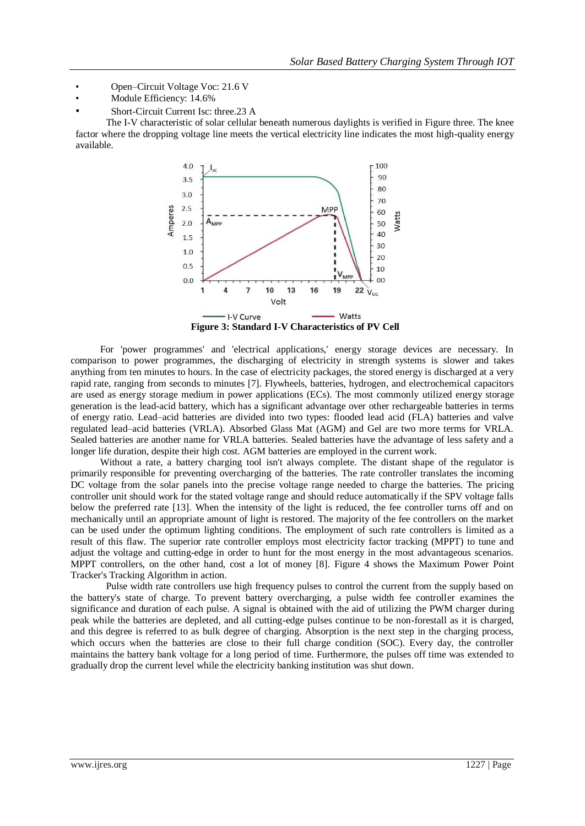- Open–Circuit Voltage Voc: 21.6 V
- Module Efficiency: 14.6%
- Short-Circuit Current Isc: three.23 A

The I-V characteristic of solar cellular beneath numerous daylights is verified in Figure three. The knee factor where the dropping voltage line meets the vertical electricity line indicates the most high-quality energy available.



For 'power programmes' and 'electrical applications,' energy storage devices are necessary. In comparison to power programmes, the discharging of electricity in strength systems is slower and takes anything from ten minutes to hours. In the case of electricity packages, the stored energy is discharged at a very rapid rate, ranging from seconds to minutes [7]. Flywheels, batteries, hydrogen, and electrochemical capacitors are used as energy storage medium in power applications (ECs). The most commonly utilized energy storage generation is the lead-acid battery, which has a significant advantage over other rechargeable batteries in terms of energy ratio. Lead–acid batteries are divided into two types: flooded lead acid (FLA) batteries and valve regulated lead–acid batteries (VRLA). Absorbed Glass Mat (AGM) and Gel are two more terms for VRLA. Sealed batteries are another name for VRLA batteries. Sealed batteries have the advantage of less safety and a longer life duration, despite their high cost. AGM batteries are employed in the current work.

Without a rate, a battery charging tool isn't always complete. The distant shape of the regulator is primarily responsible for preventing overcharging of the batteries. The rate controller translates the incoming DC voltage from the solar panels into the precise voltage range needed to charge the batteries. The pricing controller unit should work for the stated voltage range and should reduce automatically if the SPV voltage falls below the preferred rate [13]. When the intensity of the light is reduced, the fee controller turns off and on mechanically until an appropriate amount of light is restored. The majority of the fee controllers on the market can be used under the optimum lighting conditions. The employment of such rate controllers is limited as a result of this flaw. The superior rate controller employs most electricity factor tracking (MPPT) to tune and adjust the voltage and cutting-edge in order to hunt for the most energy in the most advantageous scenarios. MPPT controllers, on the other hand, cost a lot of money [8]. Figure 4 shows the Maximum Power Point Tracker's Tracking Algorithm in action.

Pulse width rate controllers use high frequency pulses to control the current from the supply based on the battery's state of charge. To prevent battery overcharging, a pulse width fee controller examines the significance and duration of each pulse. A signal is obtained with the aid of utilizing the PWM charger during peak while the batteries are depleted, and all cutting-edge pulses continue to be non-forestall as it is charged, and this degree is referred to as bulk degree of charging. Absorption is the next step in the charging process, which occurs when the batteries are close to their full charge condition (SOC). Every day, the controller maintains the battery bank voltage for a long period of time. Furthermore, the pulses off time was extended to gradually drop the current level while the electricity banking institution was shut down.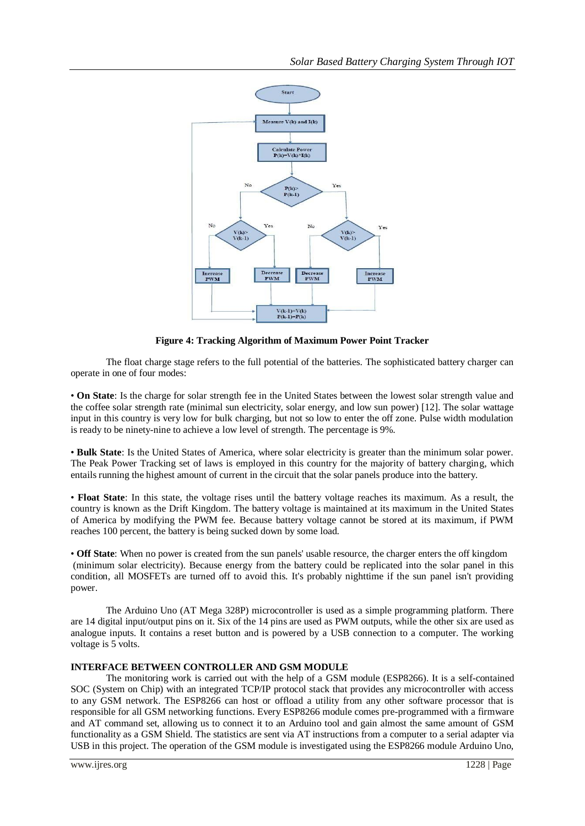

**Figure 4: Tracking Algorithm of Maximum Power Point Tracker**

The float charge stage refers to the full potential of the batteries. The sophisticated battery charger can operate in one of four modes:

• **On State**: Is the charge for solar strength fee in the United States between the lowest solar strength value and the coffee solar strength rate (minimal sun electricity, solar energy, and low sun power) [12]. The solar wattage input in this country is very low for bulk charging, but not so low to enter the off zone. Pulse width modulation is ready to be ninety-nine to achieve a low level of strength. The percentage is 9%.

• **Bulk State**: Is the United States of America, where solar electricity is greater than the minimum solar power. The Peak Power Tracking set of laws is employed in this country for the majority of battery charging, which entails running the highest amount of current in the circuit that the solar panels produce into the battery.

• **Float State**: In this state, the voltage rises until the battery voltage reaches its maximum. As a result, the country is known as the Drift Kingdom. The battery voltage is maintained at its maximum in the United States of America by modifying the PWM fee. Because battery voltage cannot be stored at its maximum, if PWM reaches 100 percent, the battery is being sucked down by some load.

• **Off State**: When no power is created from the sun panels' usable resource, the charger enters the off kingdom (minimum solar electricity). Because energy from the battery could be replicated into the solar panel in this condition, all MOSFETs are turned off to avoid this. It's probably nighttime if the sun panel isn't providing power.

The Arduino Uno (AT Mega 328P) microcontroller is used as a simple programming platform. There are 14 digital input/output pins on it. Six of the 14 pins are used as PWM outputs, while the other six are used as analogue inputs. It contains a reset button and is powered by a USB connection to a computer. The working voltage is 5 volts.

# **INTERFACE BETWEEN CONTROLLER AND GSM MODULE**

The monitoring work is carried out with the help of a GSM module (ESP8266). It is a self-contained SOC (System on Chip) with an integrated TCP/IP protocol stack that provides any microcontroller with access to any GSM network. The ESP8266 can host or offload a utility from any other software processor that is responsible for all GSM networking functions. Every ESP8266 module comes pre-programmed with a firmware and AT command set, allowing us to connect it to an Arduino tool and gain almost the same amount of GSM functionality as a GSM Shield. The statistics are sent via AT instructions from a computer to a serial adapter via USB in this project. The operation of the GSM module is investigated using the ESP8266 module Arduino Uno,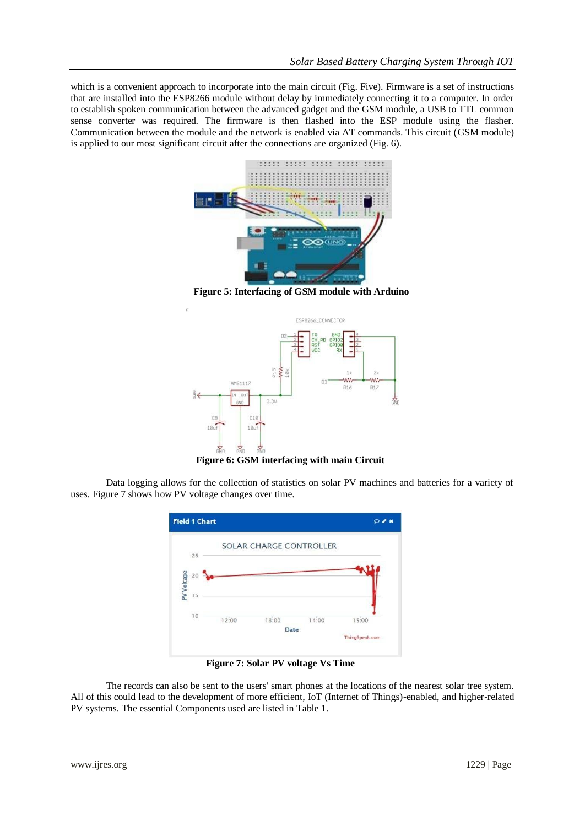which is a convenient approach to incorporate into the main circuit (Fig. Five). Firmware is a set of instructions that are installed into the ESP8266 module without delay by immediately connecting it to a computer. In order to establish spoken communication between the advanced gadget and the GSM module, a USB to TTL common sense converter was required. The firmware is then flashed into the ESP module using the flasher. Communication between the module and the network is enabled via AT commands. This circuit (GSM module) is applied to our most significant circuit after the connections are organized (Fig. 6).



 **Figure 5: Interfacing of GSM module with Arduino**



 **Figure 6: GSM interfacing with main Circuit**

Data logging allows for the collection of statistics on solar PV machines and batteries for a variety of uses. Figure 7 shows how PV voltage changes over time.



 **Figure 7: Solar PV voltage Vs Time**

The records can also be sent to the users' smart phones at the locations of the nearest solar tree system. All of this could lead to the development of more efficient, IoT (Internet of Things)-enabled, and higher-related PV systems. The essential Components used are listed in Table 1.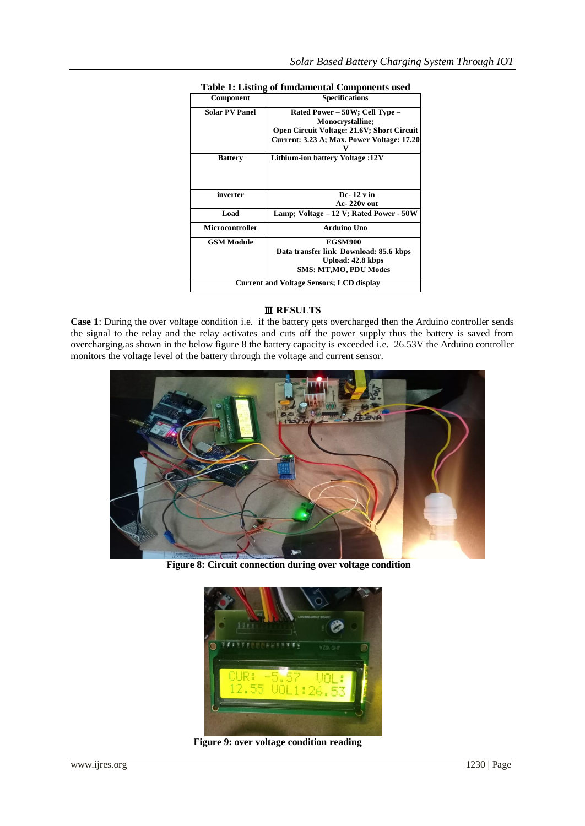| Component                                       | <b>Specifications</b>                      |
|-------------------------------------------------|--------------------------------------------|
| <b>Solar PV Panel</b>                           | Rated Power – 50W; Cell Type –             |
|                                                 | <b>Monocrystalline;</b>                    |
|                                                 | Open Circuit Voltage: 21.6V; Short Circuit |
|                                                 | Current: 3.23 A; Max. Power Voltage: 17.20 |
| <b>Battery</b>                                  | Lithium-ion battery Voltage: 12V           |
|                                                 |                                            |
|                                                 |                                            |
| inverter                                        | $Dc - 12v$ in                              |
|                                                 | $Ac-220v$ out                              |
| Load                                            | Lamp; Voltage – 12 V; Rated Power - 50W    |
| <b>Microcontroller</b>                          | Arduino Uno                                |
| <b>GSM Module</b>                               | EGSM900                                    |
|                                                 | Data transfer link Download: 85.6 kbps     |
|                                                 | Upload: 42.8 kbps                          |
|                                                 | <b>SMS: MT,MO, PDU Modes</b>               |
| <b>Current and Voltage Sensors; LCD display</b> |                                            |

#### **Table 1: Listing of fundamental Components used**

# Ⅲ **RESULTS**

**Case 1**: During the over voltage condition i.e. if the battery gets overcharged then the Arduino controller sends the signal to the relay and the relay activates and cuts off the power supply thus the battery is saved from overcharging.as shown in the below figure 8 the battery capacity is exceeded i.e. 26.53V the Arduino controller monitors the voltage level of the battery through the voltage and current sensor.



 **Figure 8: Circuit connection during over voltage condition**



 **Figure 9: over voltage condition reading**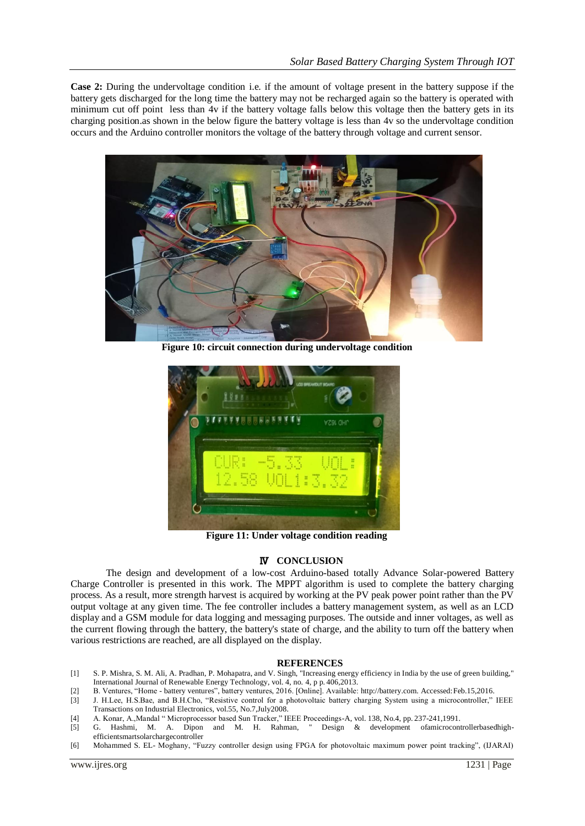**Case 2:** During the undervoltage condition i.e. if the amount of voltage present in the battery suppose if the battery gets discharged for the long time the battery may not be recharged again so the battery is operated with minimum cut off point less than 4v if the battery voltage falls below this voltage then the battery gets in its charging position.as shown in the below figure the battery voltage is less than 4v so the undervoltage condition occurs and the Arduino controller monitors the voltage of the battery through voltage and current sensor.



 **Figure 10: circuit connection during undervoltage condition**



 **Figure 11: Under voltage condition reading** 

# Ⅳ **CONCLUSION**

The design and development of a low-cost Arduino-based totally Advance Solar-powered Battery Charge Controller is presented in this work. The MPPT algorithm is used to complete the battery charging process. As a result, more strength harvest is acquired by working at the PV peak power point rather than the PV output voltage at any given time. The fee controller includes a battery management system, as well as an LCD display and a GSM module for data logging and messaging purposes. The outside and inner voltages, as well as the current flowing through the battery, the battery's state of charge, and the ability to turn off the battery when various restrictions are reached, are all displayed on the display.

# **REFERENCES**

- [1] S. P. Mishra, S. M. Ali, A. Pradhan, P. Mohapatra, and V. Singh, "Increasing energy efficiency in India by the use of green building," International Journal of Renewable Energy Technology, vol. 4, no. 4, p p. 406,2013.
- [2] B. Ventures, "Home battery ventures", battery ventures, 2016. [Online]. Available[: http://battery.com. A](http://battery.com/)ccessed:Feb.15,2016.
- [3] J. H.Lee, H.S.Bae, and B.H.Cho, "Resistive control for a photovoltaic battery charging System using a microcontroller," IEEE Transactions on Industrial Electronics, vol.55, No.7,July2008.
- [4] A. Konar, A.,Mandal " Microprocessor based Sun Tracker," IEEE Proceedings-A, vol. 138, No.4, pp. 237-241,1991.
- [5] G. Hashmi, M. A. Dipon and M. H. Rahman, " Design & development ofamicrocontrollerbasedhighefficientsmartsolarchargecontroller
- [6] Mohammed S. EL- Moghany, "Fuzzy controller design using FPGA for photovoltaic maximum power point tracking", (IJARAI)